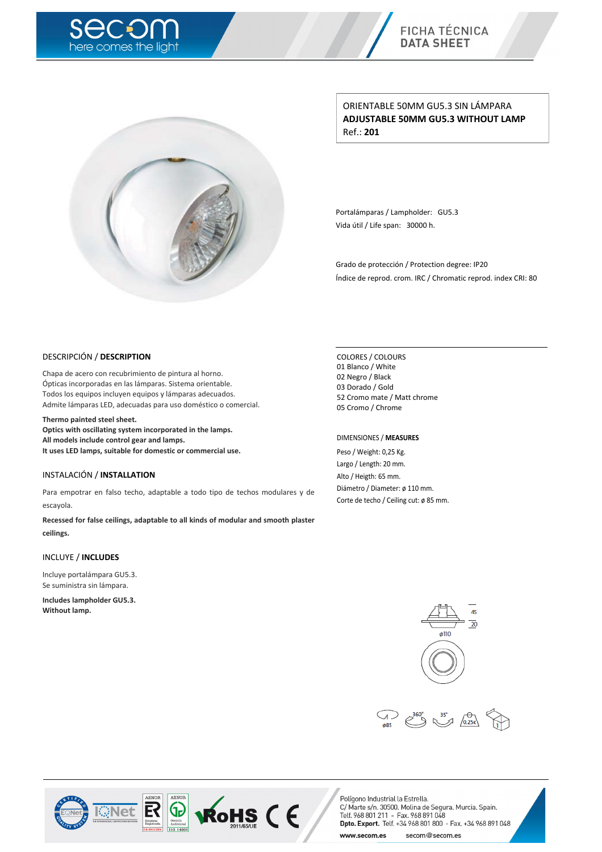



ORIENTABLE 50MM GU5.3 SIN LÁMPARA **ADJUSTABLE 50MM GU5.3 WITHOUT LAMP** Ref.: **201**

Portalámparas / Lampholder: GU5.3 Vida útil / Life span: 30000 h.

Grado de protección / Protection degree: IP20 Índice de reprod. crom. IRC / Chromatic reprod. index CRI: 80

#### DESCRIPCIÓN / **DESCRIPTION**

Chapa de acero con recubrimiento de pintura al horno. Ópticas incorporadas en las lámparas. Sistema orientable. Todos los equipos incluyen equipos y lámparas adecuados. Admite lámparas LED, adecuadas para uso doméstico o comercial.

**Thermo painted steel sheet.**

**Optics with oscillating system incorporated in the lamps. All models include control gear and lamps. It uses LED lamps, suitable for domestic or commercial use.**

### INSTALACIÓN / **INSTALLATION**

Para empotrar en falso techo, adaptable a todo tipo de techos modulares y de escayola.

**Recessed for false ceilings, adaptable to all kinds of modular and smooth plaster ceilings.**

#### INCLUYE / **INCLUDES**

Incluye portalámpara GU5.3. Se suministra sin lámpara.

**Includes lampholder GU5.3. Without lamp.**

COLORES / COLOURS Blanco / White Negro / Black Dorado / Gold Cromo mate / Matt chrome Cromo / Chrome

#### DIMENSIONES / **MEASURES**

Peso / Weight: 0,25 Kg. Largo / Length: 20 mm. Alto / Heigth: 65 mm. Diámetro / Diameter: ø 110 mm. Corte de techo / Ceiling cut: ø 85 mm.







**ROHS (E** www.secom.es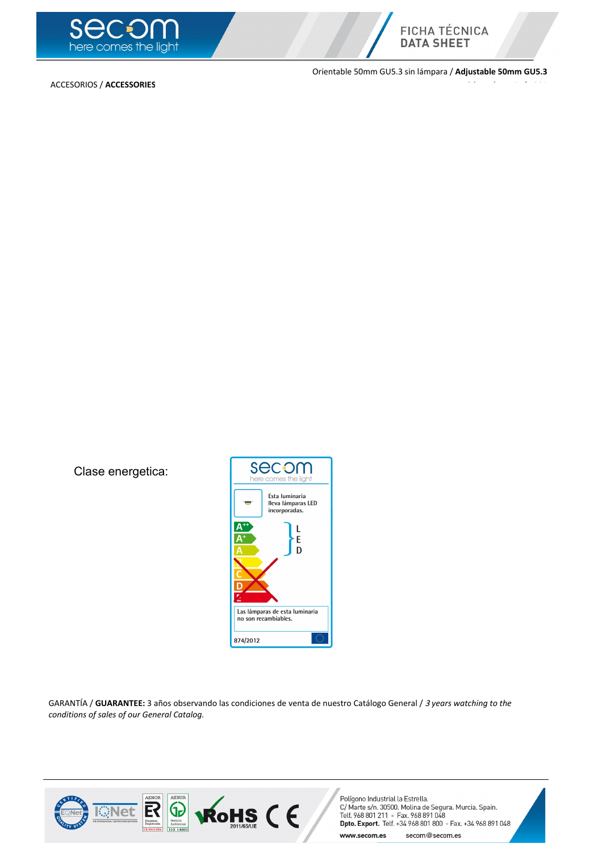



ACCESORIOS / **ACCESSORIES**

Orientable 50mm GU5.3 sin lámpara / **Adjustable 50mm GU5.3 without lamp** Ref.: **201**

Clase energetica:



GARANTÍA / **GUARANTEE:** 3 años observando las condiciones de venta de nuestro Catálogo General / <sup>3</sup> *years watching to the conditions of sales of our General Catalog.*

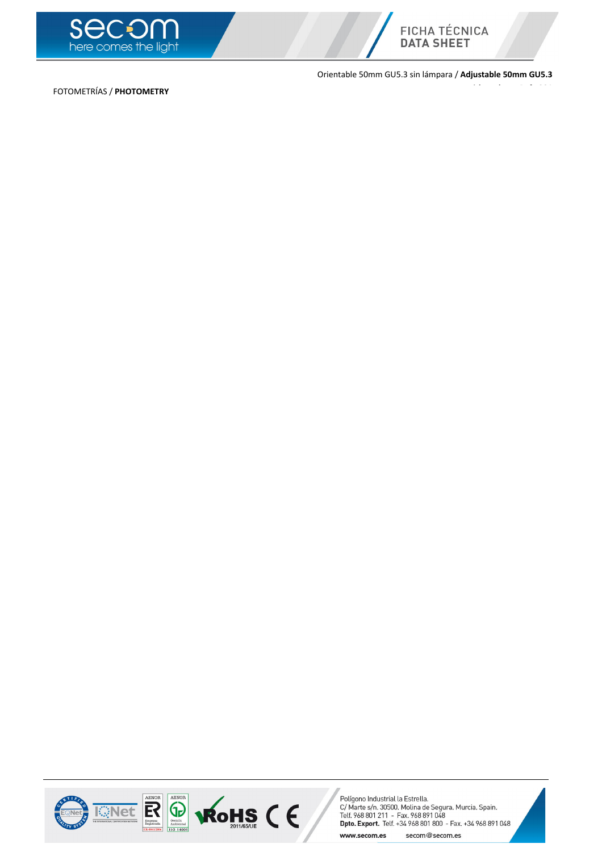



Orientable 50mm GU5.3 sin lámpara / **Adjustable 50mm GU5.3**

**without lamp** Ref.: **201**

FOTOMETRÍAS / **PHOTOMETRY**